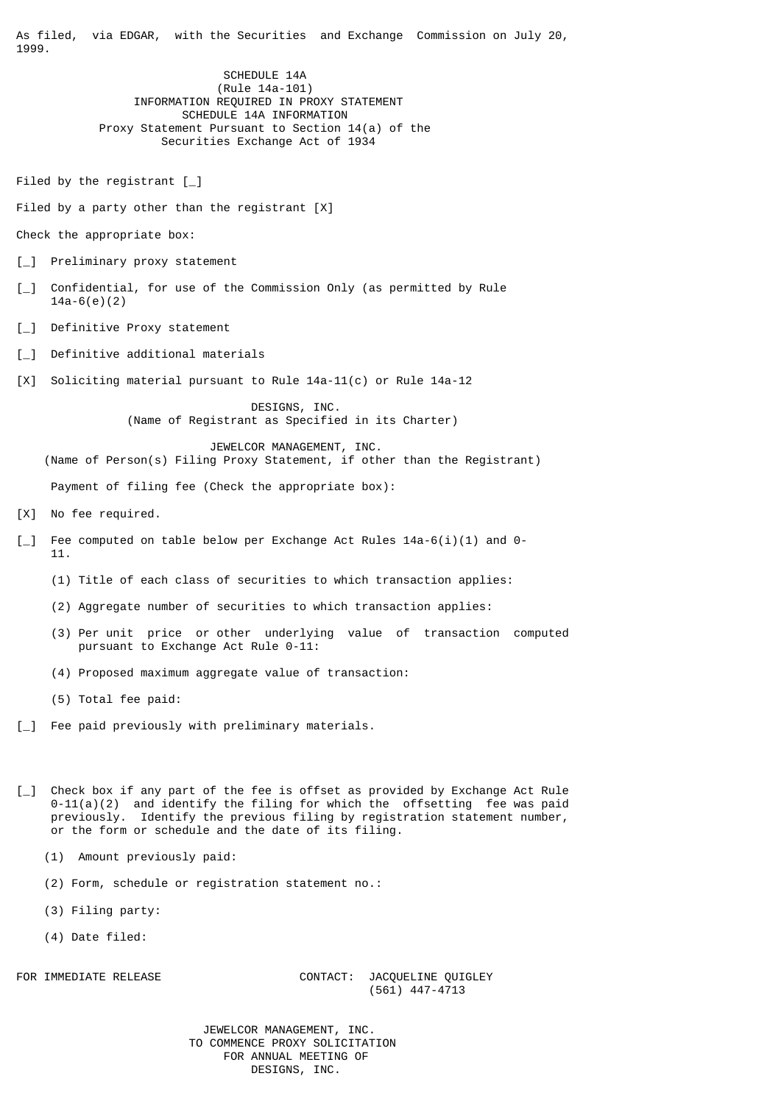As filed, via EDGAR, with the Securities and Exchange Commission on July 20, 1999.

> SCHEDULE 14A (Rule 14a-101) INFORMATION REQUIRED IN PROXY STATEMENT SCHEDULE 14A INFORMATION Proxy Statement Pursuant to Section 14(a) of the Securities Exchange Act of 1934

Filed by the registrant  $[\ ]$ 

Filed by a party other than the registrant [X]

Check the appropriate box:

- [\_] Preliminary proxy statement
- [\_] Confidential, for use of the Commission Only (as permitted by Rule 14a-6(e)(2)
- [ ] Definitive Proxy statement
- [\_] Definitive additional materials
- [X] Soliciting material pursuant to Rule 14a-11(c) or Rule 14a-12

 DESIGNS, INC. (Name of Registrant as Specified in its Charter)

 JEWELCOR MANAGEMENT, INC. (Name of Person(s) Filing Proxy Statement, if other than the Registrant) Payment of filing fee (Check the appropriate box):

- [X] No fee required.
- [\_] Fee computed on table below per Exchange Act Rules 14a-6(i)(1) and 0- 11.
	- (1) Title of each class of securities to which transaction applies:
	- (2) Aggregate number of securities to which transaction applies:
	- (3) Per unit price or other underlying value of transaction computed pursuant to Exchange Act Rule 0-11:
	- (4) Proposed maximum aggregate value of transaction:
	- (5) Total fee paid:
- [\_] Fee paid previously with preliminary materials.
- [\_] Check box if any part of the fee is offset as provided by Exchange Act Rule  $0-11(a)(2)$  and identify the filing for which the offsetting fee was paid previously. Identify the previous filing by registration statement number, or the form or schedule and the date of its filing.
	- (1) Amount previously paid:
	- (2) Form, schedule or registration statement no.:
	- (3) Filing party:
	- (4) Date filed:

## FOR IMMEDIATE RELEASE CONTACT: JACQUELINE QUIGLEY (561) 447-4713

 JEWELCOR MANAGEMENT, INC. TO COMMENCE PROXY SOLICITATION FOR ANNUAL MEETING OF DESIGNS, INC.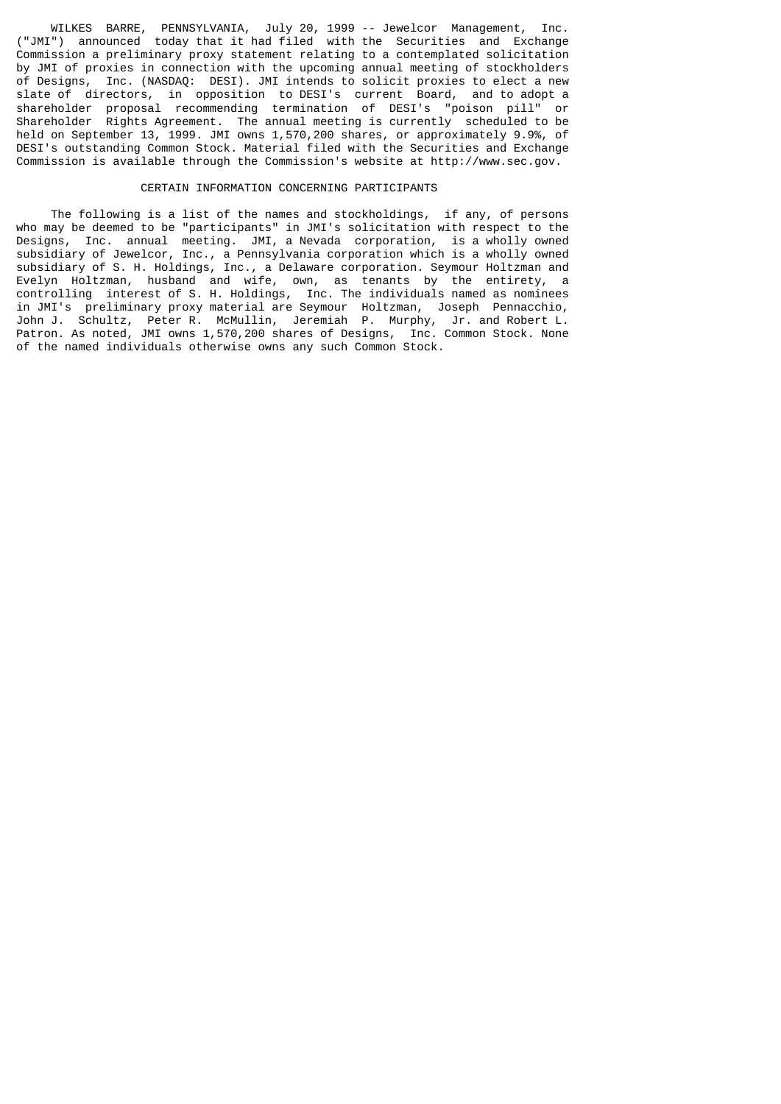WILKES BARRE, PENNSYLVANIA, July 20, 1999 -- Jewelcor Management, Inc. ("JMI") announced today that it had filed with the Securities and Exchange Commission a preliminary proxy statement relating to a contemplated solicitation by JMI of proxies in connection with the upcoming annual meeting of stockholders of Designs, Inc. (NASDAQ: DESI). JMI intends to solicit proxies to elect a new slate of directors, in opposition to DESI's current Board, and to adopt a shareholder proposal recommending termination of DESI's "poison pill" or Shareholder Rights Agreement. The annual meeting is currently scheduled to be held on September 13, 1999. JMI owns 1,570,200 shares, or approximately 9.9%, of DESI's outstanding Common Stock. Material filed with the Securities and Exchange Commission is available through the Commission's website at http://www.sec.gov.

## CERTAIN INFORMATION CONCERNING PARTICIPANTS

 The following is a list of the names and stockholdings, if any, of persons who may be deemed to be "participants" in JMI's solicitation with respect to the Designs, Inc. annual meeting. JMI, a Nevada corporation, is a wholly owned subsidiary of Jewelcor, Inc., a Pennsylvania corporation which is a wholly owned subsidiary of S. H. Holdings, Inc., a Delaware corporation. Seymour Holtzman and Evelyn Holtzman, husband and wife, own, as tenants by the entirety, a controlling interest of S. H. Holdings, Inc. The individuals named as nominees in JMI's preliminary proxy material are Seymour Holtzman, Joseph Pennacchio, John J. Schultz, Peter R. McMullin, Jeremiah P. Murphy, Jr. and Robert L. Patron. As noted, JMI owns 1,570,200 shares of Designs, Inc. Common Stock. None of the named individuals otherwise owns any such Common Stock.